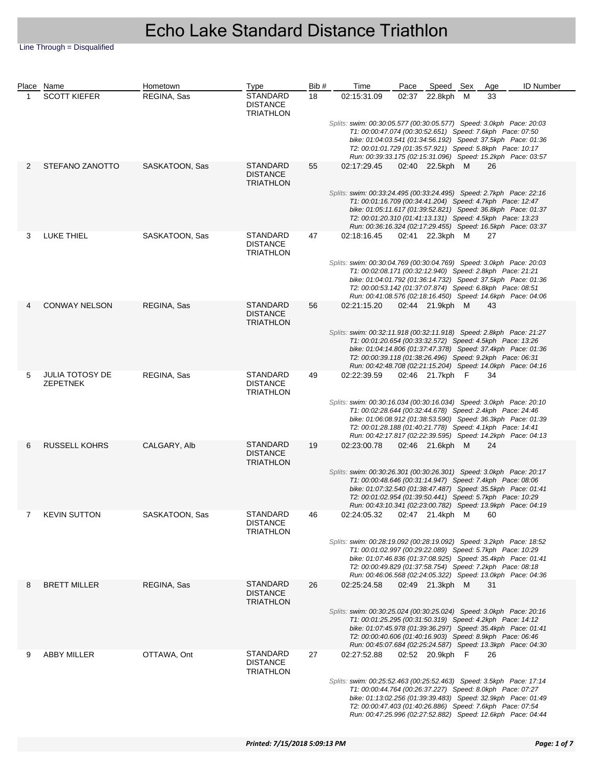|   | Place Name                                | Hometown       | Type                                                   | Bib# | Time                                                                                                                                                                                                                                                                                                                         | Pace | Speed Sex       | Age | <b>ID Number</b> |  |
|---|-------------------------------------------|----------------|--------------------------------------------------------|------|------------------------------------------------------------------------------------------------------------------------------------------------------------------------------------------------------------------------------------------------------------------------------------------------------------------------------|------|-----------------|-----|------------------|--|
| 1 | <b>SCOTT KIEFER</b>                       | REGINA, Sas    | <b>STANDARD</b><br><b>DISTANCE</b><br><b>TRIATHLON</b> | 18   | 02:15:31.09                                                                                                                                                                                                                                                                                                                  |      | 02:37 22.8kph M | 33  |                  |  |
|   |                                           |                |                                                        |      | Splits: swim: 00:30:05.577 (00:30:05.577) Speed: 3.0kph Pace: 20:03<br>T1: 00:00:47.074 (00:30:52.651) Speed: 7.6kph Pace: 07:50<br>bike: 01:04:03.541 (01:34:56.192) Speed: 37.5kph Pace: 01:36<br>T2: 00:01:01.729 (01:35:57.921) Speed: 5.8kph Pace: 10:17<br>Run: 00:39:33.175 (02:15:31.096) Speed: 15.2kph Pace: 03:57 |      |                 |     |                  |  |
| 2 | STEFANO ZANOTTO                           | SASKATOON, Sas | <b>STANDARD</b><br><b>DISTANCE</b><br><b>TRIATHLON</b> | 55   | 02:17:29.45                                                                                                                                                                                                                                                                                                                  |      | 02:40 22.5kph M | 26  |                  |  |
|   |                                           |                |                                                        |      | Splits: swim: 00:33:24.495 (00:33:24.495) Speed: 2.7kph Pace: 22:16<br>T1: 00:01:16.709 (00:34:41.204) Speed: 4.7kph Pace: 12:47<br>bike: 01:05:11.617 (01:39:52.821) Speed: 36.8kph Pace: 01:37<br>T2: 00:01:20.310 (01:41:13.131) Speed: 4.5kph Pace: 13:23<br>Run: 00:36:16.324 (02:17:29.455) Speed: 16.5kph Pace: 03:37 |      |                 |     |                  |  |
| 3 | LUKE THIEL                                | SASKATOON, Sas | <b>STANDARD</b><br><b>DISTANCE</b><br><b>TRIATHLON</b> | 47   | 02:18:16.45                                                                                                                                                                                                                                                                                                                  |      | 02:41 22.3kph M | 27  |                  |  |
|   |                                           |                |                                                        |      | Splits: swim: 00:30:04.769 (00:30:04.769) Speed: 3.0kph Pace: 20:03<br>T1: 00:02:08.171 (00:32:12.940) Speed: 2.8kph Pace: 21:21<br>bike: 01:04:01.792 (01:36:14.732) Speed: 37.5kph Pace: 01:36<br>T2: 00:00:53.142 (01:37:07.874) Speed: 6.8kph Pace: 08:51<br>Run: 00:41:08.576 (02:18:16.450) Speed: 14.6kph Pace: 04:06 |      |                 |     |                  |  |
| 4 | <b>CONWAY NELSON</b>                      | REGINA, Sas    | <b>STANDARD</b><br><b>DISTANCE</b><br><b>TRIATHLON</b> | 56   | 02:21:15.20                                                                                                                                                                                                                                                                                                                  |      | 02:44 21.9kph M | 43  |                  |  |
|   |                                           |                |                                                        |      | Splits: swim: 00:32:11.918 (00:32:11.918) Speed: 2.8kph Pace: 21:27<br>T1: 00:01:20.654 (00:33:32.572) Speed: 4.5kph Pace: 13:26<br>bike: 01:04:14.806 (01:37:47.378) Speed: 37.4kph Pace: 01:36<br>T2: 00:00:39.118 (01:38:26.496) Speed: 9.2kph Pace: 06:31<br>Run: 00:42:48.708 (02:21:15.204) Speed: 14.0kph Pace: 04:16 |      |                 |     |                  |  |
| 5 | <b>JULIA TOTOSY DE</b><br><b>ZEPETNEK</b> | REGINA, Sas    | <b>STANDARD</b><br><b>DISTANCE</b><br><b>TRIATHLON</b> | 49   | 02:22:39.59                                                                                                                                                                                                                                                                                                                  |      | 02:46 21.7kph F | 34  |                  |  |
|   |                                           |                |                                                        |      | Splits: swim: 00:30:16.034 (00:30:16.034) Speed: 3.0kph Pace: 20:10<br>T1: 00:02:28.644 (00:32:44.678) Speed: 2.4kph Pace: 24:46<br>bike: 01:06:08.912 (01:38:53.590) Speed: 36.3kph Pace: 01:39<br>T2: 00:01:28.188 (01:40:21.778) Speed: 4.1kph Pace: 14:41<br>Run: 00:42:17.817 (02:22:39.595) Speed: 14.2kph Pace: 04:13 |      |                 |     |                  |  |
| 6 | <b>RUSSELL KOHRS</b>                      | CALGARY, Alb   | <b>STANDARD</b><br><b>DISTANCE</b><br><b>TRIATHLON</b> | 19   | 02:23:00.78                                                                                                                                                                                                                                                                                                                  |      | 02:46 21.6kph M | 24  |                  |  |
|   |                                           |                |                                                        |      | Splits: swim: 00:30:26.301 (00:30:26.301) Speed: 3.0kph Pace: 20:17<br>T1: 00:00:48.646 (00:31:14.947) Speed: 7.4kph Pace: 08:06<br>bike: 01:07:32.540 (01:38:47.487) Speed: 35.5kph Pace: 01:41<br>T2: 00:01:02.954 (01:39:50.441) Speed: 5.7kph Pace: 10:29<br>Run: 00:43:10.341 (02:23:00.782) Speed: 13.9kph Pace: 04:19 |      |                 |     |                  |  |
|   | <b>KEVIN SUTTON</b>                       | SASKATOON, Sas | <b>STANDARD</b><br><b>DISTANCE</b><br><b>TRIATHLON</b> | 46   | 02:24:05.32  02:47  21.4kph  M  60                                                                                                                                                                                                                                                                                           |      |                 |     |                  |  |
|   |                                           |                |                                                        |      | Splits: swim: 00:28:19.092 (00:28:19.092) Speed: 3.2kph Pace: 18:52<br>T1: 00:01:02.997 (00:29:22.089) Speed: 5.7kph Pace: 10:29<br>bike: 01:07:46.836 (01:37:08.925) Speed: 35.4kph Pace: 01:41<br>T2: 00:00:49.829 (01:37:58.754) Speed: 7.2kph Pace: 08:18<br>Run: 00:46:06.568 (02:24:05.322) Speed: 13.0kph Pace: 04:36 |      |                 |     |                  |  |
| 8 | <b>BRETT MILLER</b>                       | REGINA, Sas    | <b>STANDARD</b><br><b>DISTANCE</b><br><b>TRIATHLON</b> | 26   | 02:25:24.58                                                                                                                                                                                                                                                                                                                  |      | 02:49 21.3kph M | 31  |                  |  |
|   |                                           |                |                                                        |      | Splits: swim: 00:30:25.024 (00:30:25.024) Speed: 3.0kph Pace: 20:16<br>T1: 00:01:25.295 (00:31:50.319) Speed: 4.2kph Pace: 14:12<br>bike: 01:07:45.978 (01:39:36.297) Speed: 35.4kph Pace: 01:41<br>T2: 00:00:40.606 (01:40:16.903) Speed: 8.9kph Pace: 06:46<br>Run: 00:45:07.684 (02:25:24.587) Speed: 13.3kph Pace: 04:30 |      |                 |     |                  |  |
| 9 | <b>ABBY MILLER</b>                        | OTTAWA, Ont    | <b>STANDARD</b><br><b>DISTANCE</b><br><b>TRIATHLON</b> | 27   | 02:27:52.88                                                                                                                                                                                                                                                                                                                  |      | 02:52 20.9kph F | 26  |                  |  |
|   |                                           |                |                                                        |      | Splits: swim: 00:25:52.463 (00:25:52.463) Speed: 3.5kph Pace: 17:14<br>T1: 00:00:44.764 (00:26:37.227) Speed: 8.0kph Pace: 07:27<br>bike: 01:13:02.256 (01:39:39.483) Speed: 32.9kph Pace: 01:49<br>T2: 00:00:47.403 (01:40:26.886) Speed: 7.6kph Pace: 07:54<br>Run: 00:47:25.996 (02:27:52.882) Speed: 12.6kph Pace: 04:44 |      |                 |     |                  |  |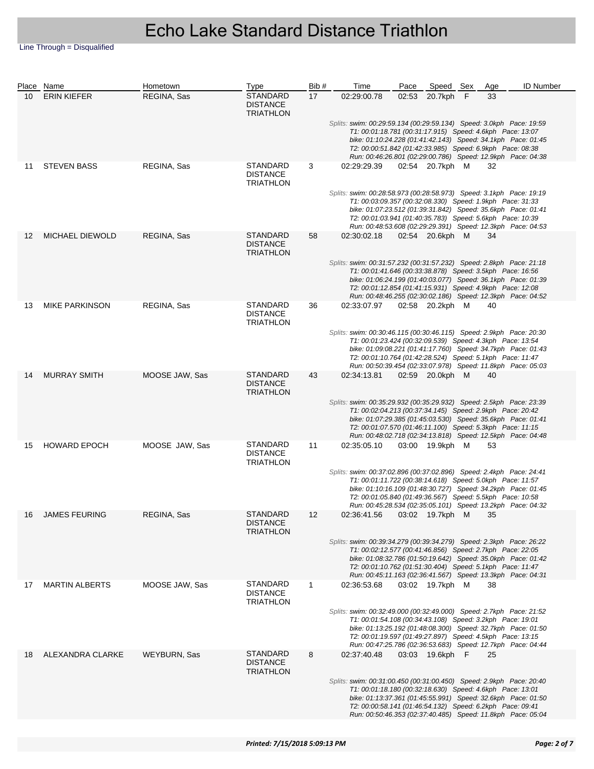|    | Place Name             | Hometown       | <b>Type</b>                                            | Bib#        | Time                                                                                                                                                                                                                                                                                                                            | Pace  | Speed Sex       | Age | <b>ID Number</b> |
|----|------------------------|----------------|--------------------------------------------------------|-------------|---------------------------------------------------------------------------------------------------------------------------------------------------------------------------------------------------------------------------------------------------------------------------------------------------------------------------------|-------|-----------------|-----|------------------|
| 10 | <b>ERIN KIEFER</b>     | REGINA, Sas    | <b>STANDARD</b><br><b>DISTANCE</b><br><b>TRIATHLON</b> | 17          | 02:29:00.78                                                                                                                                                                                                                                                                                                                     | 02:53 | 20.7kph F       | 33  |                  |
|    |                        |                |                                                        |             | Splits: swim: 00:29:59.134 (00:29:59.134) Speed: 3.0kph Pace: 19:59<br>T1: 00:01:18.781 (00:31:17.915) Speed: 4.6kph Pace: 13:07<br>bike: 01:10:24.228 (01:41:42.143) Speed: 34.1kph Pace: 01:45<br>T2: 00:00:51.842 (01:42:33.985) Speed: 6.9kph Pace: 08:38<br>Run: 00:46:26.801 (02:29:00.786) Speed: 12.9kph Pace: 04:38    |       |                 |     |                  |
| 11 | <b>STEVEN BASS</b>     | REGINA, Sas    | <b>STANDARD</b><br><b>DISTANCE</b><br><b>TRIATHLON</b> | 3           | 02:29:29.39                                                                                                                                                                                                                                                                                                                     |       | 02:54 20.7kph M | 32  |                  |
|    |                        |                |                                                        |             | Splits: swim: 00:28:58.973 (00:28:58.973) Speed: 3.1kph Pace: 19:19<br>T1: 00:03:09.357 (00:32:08.330) Speed: 1.9kph Pace: 31:33<br>bike: 01:07:23.512 (01:39:31.842) Speed: 35.6kph Pace: 01:41<br>T2: 00:01:03.941 (01:40:35.783) Speed: 5.6kph Pace: 10:39<br>Run: 00:48:53.608 (02:29:29.391) Speed: 12.3kph Pace: 04:53    |       |                 |     |                  |
| 12 | <b>MICHAEL DIEWOLD</b> | REGINA, Sas    | <b>STANDARD</b><br><b>DISTANCE</b><br><b>TRIATHLON</b> | 58          | 02:30:02.18                                                                                                                                                                                                                                                                                                                     |       | 02:54 20.6kph M | 34  |                  |
|    |                        |                |                                                        |             | Splits: swim: 00:31:57.232 (00:31:57.232) Speed: 2.8kph    Pace: 21:18<br>T1: 00:01:41.646 (00:33:38.878) Speed: 3.5kph Pace: 16:56<br>bike: 01:06:24.199 (01:40:03.077) Speed: 36.1kph Pace: 01:39<br>T2: 00:01:12.854 (01:41:15.931) Speed: 4.9kph Pace: 12:08<br>Run: 00:48:46.255 (02:30:02.186) Speed: 12.3kph Pace: 04:52 |       |                 |     |                  |
| 13 | <b>MIKE PARKINSON</b>  | REGINA, Sas    | <b>STANDARD</b><br><b>DISTANCE</b><br><b>TRIATHLON</b> | 36          | 02:33:07.97                                                                                                                                                                                                                                                                                                                     |       | 02:58 20.2kph M | 40  |                  |
|    |                        |                |                                                        |             | Splits: swim: 00:30:46.115 (00:30:46.115) Speed: 2.9kph Pace: 20:30<br>T1: 00:01:23.424 (00:32:09.539) Speed: 4.3kph Pace: 13:54<br>bike: 01:09:08.221 (01:41:17.760) Speed: 34.7kph Pace: 01:43<br>T2: 00:01:10.764 (01:42:28.524) Speed: 5.1kph Pace: 11:47<br>Run: 00:50:39.454 (02:33:07.978) Speed: 11.8kph Pace: 05:03    |       |                 |     |                  |
| 14 | <b>MURRAY SMITH</b>    | MOOSE JAW, Sas | <b>STANDARD</b><br><b>DISTANCE</b><br><b>TRIATHLON</b> | 43          | 02:34:13.81                                                                                                                                                                                                                                                                                                                     |       | 02:59 20.0kph M | 40  |                  |
|    |                        |                |                                                        |             | Splits: swim: 00:35:29.932 (00:35:29.932) Speed: 2.5kph Pace: 23:39<br>T1: 00:02:04.213 (00:37:34.145) Speed: 2.9kph Pace: 20:42<br>bike: 01:07:29.385 (01:45:03.530) Speed: 35.6kph Pace: 01:41<br>T2: 00:01:07.570 (01:46:11.100) Speed: 5.3kph Pace: 11:15<br>Run: 00:48:02.718 (02:34:13.818) Speed: 12.5kph Pace: 04:48    |       |                 |     |                  |
| 15 | <b>HOWARD EPOCH</b>    | MOOSE JAW, Sas | <b>STANDARD</b><br><b>DISTANCE</b><br><b>TRIATHLON</b> | 11          | 02:35:05.10                                                                                                                                                                                                                                                                                                                     |       | 03:00 19.9kph M | 53  |                  |
|    |                        |                |                                                        |             | Splits: swim: 00:37:02.896 (00:37:02.896) Speed: 2.4kph Pace: 24:41<br>T1: 00:01:11.722 (00:38:14.618) Speed: 5.0kph Pace: 11:57<br>bike: 01:10:16.109 (01:48:30.727) Speed: 34.2kph Pace: 01:45<br>T2: 00:01:05.840 (01:49:36.567) Speed: 5.5kph Pace: 10:58<br>Run: 00:45:28.534 (02:35:05.101) Speed: 13.2kph Pace: 04:32    |       |                 |     |                  |
| 16 | <b>JAMES FEURING</b>   | REGINA, Sas    | STANDARD<br><b>DISTANCE</b><br><b>TRIATHLON</b>        | 12          | 02:36:41.56  03:02  19.7kph  M  35                                                                                                                                                                                                                                                                                              |       |                 |     |                  |
|    |                        |                |                                                        |             | Splits: swim: 00:39:34.279 (00:39:34.279) Speed: 2.3kph Pace: 26:22<br>T1: 00:02:12.577 (00:41:46.856) Speed: 2.7kph Pace: 22:05<br>bike: 01:08:32.786 (01:50:19.642) Speed: 35.0kph Pace: 01:42<br>T2: 00:01:10.762 (01:51:30.404) Speed: 5.1kph Pace: 11:47<br>Run: 00:45:11.163 (02:36:41.567) Speed: 13.3kph Pace: 04:31    |       |                 |     |                  |
| 17 | <b>MARTIN ALBERTS</b>  | MOOSE JAW, Sas | <b>STANDARD</b><br><b>DISTANCE</b><br><b>TRIATHLON</b> | $\mathbf 1$ | 02:36:53.68                                                                                                                                                                                                                                                                                                                     |       | 03:02 19.7kph M | 38  |                  |
|    |                        |                |                                                        |             | Splits: swim: 00:32:49.000 (00:32:49.000) Speed: 2.7kph Pace: 21:52<br>T1: 00:01:54.108 (00:34:43.108) Speed: 3.2kph Pace: 19:01<br>bike: 01:13:25.192 (01:48:08.300) Speed: 32.7kph Pace: 01:50<br>T2: 00:01:19.597 (01:49:27.897) Speed: 4.5kph Pace: 13:15<br>Run: 00:47:25.786 (02:36:53.683) Speed: 12.7kph Pace: 04:44    |       |                 |     |                  |
| 18 | ALEXANDRA CLARKE       | WEYBURN, Sas   | <b>STANDARD</b><br><b>DISTANCE</b><br><b>TRIATHLON</b> | 8           | 02:37:40.48                                                                                                                                                                                                                                                                                                                     |       | 03:03 19.6kph F | 25  |                  |
|    |                        |                |                                                        |             | Splits: swim: 00:31:00.450 (00:31:00.450) Speed: 2.9kph Pace: 20:40<br>T1: 00:01:18.180 (00:32:18.630) Speed: 4.6kph Pace: 13:01<br>bike: 01:13:37.361 (01:45:55.991) Speed: 32.6kph Pace: 01:50<br>T2: 00:00:58.141 (01:46:54.132) Speed: 6.2kph Pace: 09:41<br>Run: 00:50:46.353 (02:37:40.485) Speed: 11.8kph Pace: 05:04    |       |                 |     |                  |
|    |                        |                |                                                        |             |                                                                                                                                                                                                                                                                                                                                 |       |                 |     |                  |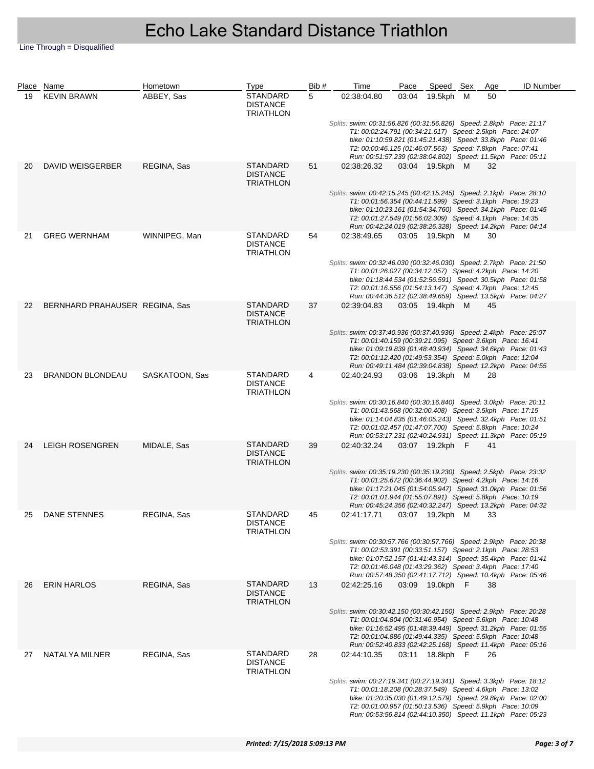|    | Place Name                     | Hometown       | Type                                                   | Bib # | Time                                                                                                                                                                                                                                                                                                                         | Pace | Speed Sex       | Age | <b>ID Number</b> |  |
|----|--------------------------------|----------------|--------------------------------------------------------|-------|------------------------------------------------------------------------------------------------------------------------------------------------------------------------------------------------------------------------------------------------------------------------------------------------------------------------------|------|-----------------|-----|------------------|--|
| 19 | <b>KEVIN BRAWN</b>             | ABBEY, Sas     | STANDARD<br><b>DISTANCE</b><br><b>TRIATHLON</b>        | 5     | 02:38:04.80                                                                                                                                                                                                                                                                                                                  |      | 03:04 19.5kph M | 50  |                  |  |
|    |                                |                |                                                        |       | Splits: swim: 00:31:56.826 (00:31:56.826) Speed: 2.8kph Pace: 21:17<br>T1: 00:02:24.791 (00:34:21.617) Speed: 2.5kph Pace: 24:07<br>bike: 01:10:59.821 (01:45:21.438) Speed: 33.8kph Pace: 01:46<br>T2: 00:00:46.125 (01:46:07.563) Speed: 7.8kph Pace: 07:41<br>Run: 00:51:57.239 (02:38:04.802) Speed: 11.5kph Pace: 05:11 |      |                 |     |                  |  |
| 20 | DAVID WEISGERBER               | REGINA, Sas    | <b>STANDARD</b><br><b>DISTANCE</b><br><b>TRIATHLON</b> | 51    | 02:38:26.32                                                                                                                                                                                                                                                                                                                  |      | 03:04 19.5kph M | 32  |                  |  |
|    |                                |                |                                                        |       | Splits: swim: 00:42:15.245 (00:42:15.245) Speed: 2.1kph Pace: 28:10<br>T1: 00:01:56.354 (00:44:11.599) Speed: 3.1kph Pace: 19:23<br>bike: 01:10:23.161 (01:54:34.760) Speed: 34.1kph Pace: 01:45<br>T2: 00:01:27.549 (01:56:02.309) Speed: 4.1kph Pace: 14:35<br>Run: 00:42:24.019 (02:38:26.328) Speed: 14.2kph Pace: 04:14 |      |                 |     |                  |  |
| 21 | <b>GREG WERNHAM</b>            | WINNIPEG, Man  | STANDARD<br><b>DISTANCE</b><br>TRIATHLON               | 54    | 02:38:49.65                                                                                                                                                                                                                                                                                                                  |      | 03:05 19.5kph M | 30  |                  |  |
|    |                                |                |                                                        |       | Splits: swim: 00:32:46.030 (00:32:46.030) Speed: 2.7kph Pace: 21:50<br>T1: 00:01:26.027 (00:34:12.057) Speed: 4.2kph Pace: 14:20<br>bike: 01:18:44.534 (01:52:56.591) Speed: 30.5kph Pace: 01:58<br>T2: 00:01:16.556 (01:54:13.147) Speed: 4.7kph Pace: 12:45<br>Run: 00:44:36.512 (02:38:49.659) Speed: 13.5kph Pace: 04:27 |      |                 |     |                  |  |
| 22 | BERNHARD PRAHAUSER REGINA, Sas |                | STANDARD<br><b>DISTANCE</b><br><b>TRIATHLON</b>        | 37    | 02:39:04.83                                                                                                                                                                                                                                                                                                                  |      | 03:05 19.4kph M | 45  |                  |  |
|    |                                |                |                                                        |       | Splits: swim: 00:37:40.936 (00:37:40.936) Speed: 2.4kph Pace: 25:07<br>T1: 00:01:40.159 (00:39:21.095) Speed: 3.6kph Pace: 16:41<br>bike: 01:09:19.839 (01:48:40.934) Speed: 34.6kph Pace: 01:43<br>T2: 00:01:12.420 (01:49:53.354) Speed: 5.0kph Pace: 12:04<br>Run: 00:49:11.484 (02:39:04.838) Speed: 12.2kph Pace: 04:55 |      |                 |     |                  |  |
| 23 | <b>BRANDON BLONDEAU</b>        | SASKATOON, Sas | STANDARD<br><b>DISTANCE</b><br><b>TRIATHLON</b>        | 4     | 02:40:24.93                                                                                                                                                                                                                                                                                                                  |      | 03:06 19.3kph M | 28  |                  |  |
|    |                                |                |                                                        |       | Splits: swim: 00:30:16.840 (00:30:16.840) Speed: 3.0kph Pace: 20:11<br>T1: 00:01:43.568 (00:32:00.408) Speed: 3.5kph Pace: 17:15<br>bike: 01:14:04.835 (01:46:05.243) Speed: 32.4kph Pace: 01:51<br>T2: 00:01:02.457 (01:47:07.700) Speed: 5.8kph Pace: 10:24<br>Run: 00:53:17.231 (02:40:24.931) Speed: 11.3kph Pace: 05:19 |      |                 |     |                  |  |
| 24 | <b>LEIGH ROSENGREN</b>         | MIDALE, Sas    | STANDARD<br><b>DISTANCE</b><br><b>TRIATHLON</b>        | 39    | 02:40:32.24                                                                                                                                                                                                                                                                                                                  |      | 03:07 19.2kph F | 41  |                  |  |
|    |                                |                |                                                        |       | Splits: swim: 00:35:19.230 (00:35:19.230) Speed: 2.5kph Pace: 23:32<br>T1: 00:01:25.672 (00:36:44.902) Speed: 4.2kph Pace: 14:16<br>bike: 01:17:21.045 (01:54:05.947) Speed: 31.0kph Pace: 01:56<br>T2: 00:01:01.944 (01:55:07.891) Speed: 5.8kph Pace: 10:19<br>Run: 00:45:24.356 (02:40:32.247) Speed: 13.2kph Pace: 04:32 |      |                 |     |                  |  |
| 25 | DANE STENNES                   | REGINA, Sas    | <b>STANDARD</b><br><b>DISTANCE</b><br><b>TRIATHLON</b> | 45    | 02:41:17.71  03:07  19.2kph  M  33                                                                                                                                                                                                                                                                                           |      |                 |     |                  |  |
|    |                                |                |                                                        |       | Splits: swim: 00:30:57.766 (00:30:57.766) Speed: 2.9kph Pace: 20:38<br>T1: 00:02:53.391 (00:33:51.157) Speed: 2.1kph Pace: 28:53<br>bike: 01:07:52.157 (01:41:43.314) Speed: 35.4kph Pace: 01:41<br>T2: 00:01:46.048 (01:43:29.362) Speed: 3.4kph Pace: 17:40<br>Run: 00:57:48.350 (02:41:17.712) Speed: 10.4kph Pace: 05:46 |      |                 |     |                  |  |
| 26 | <b>ERIN HARLOS</b>             | REGINA, Sas    | STANDARD<br><b>DISTANCE</b><br><b>TRIATHLON</b>        | 13    | 02:42:25.16                                                                                                                                                                                                                                                                                                                  |      | 03:09 19.0kph F | 38  |                  |  |
|    |                                |                |                                                        |       | Splits: swim: 00:30:42.150 (00:30:42.150) Speed: 2.9kph Pace: 20:28<br>T1: 00:01:04.804 (00:31:46.954) Speed: 5.6kph Pace: 10:48<br>bike: 01:16:52.495 (01:48:39.449) Speed: 31.2kph Pace: 01:55<br>T2: 00:01:04.886 (01:49:44.335) Speed: 5.5kph Pace: 10:48<br>Run: 00:52:40.833 (02:42:25.168) Speed: 11.4kph Pace: 05:16 |      |                 |     |                  |  |
| 27 | NATALYA MILNER                 | REGINA, Sas    | STANDARD<br><b>DISTANCE</b><br><b>TRIATHLON</b>        | 28    | 02:44:10.35                                                                                                                                                                                                                                                                                                                  |      | 03:11 18.8kph F | 26  |                  |  |
|    |                                |                |                                                        |       | Splits: swim: 00:27:19.341 (00:27:19.341) Speed: 3.3kph Pace: 18:12<br>T1: 00:01:18.208 (00:28:37.549) Speed: 4.6kph Pace: 13:02<br>bike: 01:20:35.030 (01:49:12.579) Speed: 29.8kph Pace: 02:00<br>T2: 00:01:00.957 (01:50:13.536) Speed: 5.9kph Pace: 10:09<br>Run: 00:53:56.814 (02:44:10.350) Speed: 11.1kph Pace: 05:23 |      |                 |     |                  |  |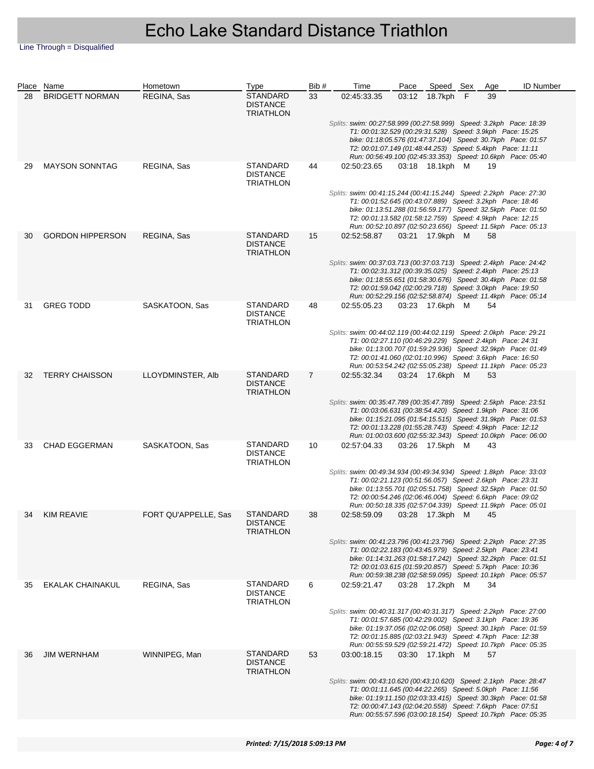|    | Place Name              | Hometown             | Type                                                   | Bib#           | Time                                                                                                                                                                                                                                                                                                                            | Pace | Speed Sex       | Age | ID Number |
|----|-------------------------|----------------------|--------------------------------------------------------|----------------|---------------------------------------------------------------------------------------------------------------------------------------------------------------------------------------------------------------------------------------------------------------------------------------------------------------------------------|------|-----------------|-----|-----------|
| 28 | <b>BRIDGETT NORMAN</b>  | REGINA, Sas          | <b>STANDARD</b><br><b>DISTANCE</b><br><b>TRIATHLON</b> | 33             | 02:45:33.35                                                                                                                                                                                                                                                                                                                     |      | 03:12 18.7kph F | 39  |           |
|    |                         |                      |                                                        |                | Splits: swim: 00:27:58.999 (00:27:58.999) Speed: 3.2kph Pace: 18:39<br>T1: 00:01:32.529 (00:29:31.528) Speed: 3.9kph Pace: 15:25<br>bike: 01:18:05.576 (01:47:37.104) Speed: 30.7kph Pace: 01:57<br>T2: 00:01:07.149 (01:48:44.253) Speed: 5.4kph Pace: 11:11<br>Run: 00:56:49.100 (02:45:33.353) Speed: 10.6kph Pace: 05:40    |      |                 |     |           |
| 29 | <b>MAYSON SONNTAG</b>   | REGINA, Sas          | <b>STANDARD</b><br><b>DISTANCE</b><br><b>TRIATHLON</b> | 44             | 02:50:23.65                                                                                                                                                                                                                                                                                                                     |      | 03:18 18.1kph M | 19  |           |
|    |                         |                      |                                                        |                | Splits: swim: 00:41:15.244 (00:41:15.244) Speed: 2.2kph    Pace: 27:30<br>T1: 00:01:52.645 (00:43:07.889) Speed: 3.2kph Pace: 18:46<br>bike: 01:13:51.288 (01:56:59.177) Speed: 32.5kph Pace: 01:50<br>T2: 00:01:13.582 (01:58:12.759) Speed: 4.9kph Pace: 12:15<br>Run: 00:52:10.897 (02:50:23.656) Speed: 11.5kph Pace: 05:13 |      |                 |     |           |
| 30 | <b>GORDON HIPPERSON</b> | REGINA, Sas          | <b>STANDARD</b><br><b>DISTANCE</b><br><b>TRIATHLON</b> | 15             | 02:52:58.87                                                                                                                                                                                                                                                                                                                     |      | 03:21 17.9kph M | 58  |           |
|    |                         |                      |                                                        |                | Splits: swim: 00:37:03.713 (00:37:03.713) Speed: 2.4kph    Pace: 24:42<br>T1: 00:02:31.312 (00:39:35.025) Speed: 2.4kph Pace: 25:13<br>bike: 01:18:55.651 (01:58:30.676) Speed: 30.4kph Pace: 01:58<br>T2: 00:01:59.042 (02:00:29.718) Speed: 3.0kph Pace: 19:50<br>Run: 00:52:29.156 (02:52:58.874) Speed: 11.4kph Pace: 05:14 |      |                 |     |           |
| 31 | <b>GREG TODD</b>        | SASKATOON, Sas       | <b>STANDARD</b><br><b>DISTANCE</b><br><b>TRIATHLON</b> | 48             | 02:55:05.23                                                                                                                                                                                                                                                                                                                     |      | 03:23 17.6kph M | 54  |           |
|    |                         |                      |                                                        |                | Splits: swim: 00:44:02.119 (00:44:02.119) Speed: 2.0kph Pace: 29:21<br>T1: 00:02:27.110 (00:46:29.229) Speed: 2.4kph Pace: 24:31<br>bike: 01:13:00.707 (01:59:29.936) Speed: 32.9kph Pace: 01:49<br>T2: 00:01:41.060 (02:01:10.996) Speed: 3.6kph Pace: 16:50<br>Run: 00:53:54.242 (02:55:05.238) Speed: 11.1kph Pace: 05:23    |      |                 |     |           |
| 32 | <b>TERRY CHAISSON</b>   | LLOYDMINSTER, Alb    | STANDARD<br><b>DISTANCE</b><br><b>TRIATHLON</b>        | $\overline{7}$ | 02:55:32.34                                                                                                                                                                                                                                                                                                                     |      | 03:24 17.6kph M | 53  |           |
|    |                         |                      |                                                        |                | Splits: swim: 00:35:47.789 (00:35:47.789) Speed: 2.5kph Pace: 23:51<br>T1: 00:03:06.631 (00:38:54.420) Speed: 1.9kph Pace: 31:06<br>bike: 01:15:21.095 (01:54:15.515) Speed: 31.9kph Pace: 01:53<br>T2: 00:01:13.228 (01:55:28.743) Speed: 4.9kph Pace: 12:12<br>Run: 01:00:03.600 (02:55:32.343) Speed: 10.0kph Pace: 06:00    |      |                 |     |           |
| 33 | <b>CHAD EGGERMAN</b>    | SASKATOON, Sas       | <b>STANDARD</b><br><b>DISTANCE</b><br><b>TRIATHLON</b> | 10             | 02:57:04.33                                                                                                                                                                                                                                                                                                                     |      | 03:26 17.5kph M | 43  |           |
|    |                         |                      |                                                        |                | Splits: swim: 00:49:34.934 (00:49:34.934) Speed: 1.8kph Pace: 33:03<br>T1: 00:02:21.123 (00:51:56.057) Speed: 2.6kph Pace: 23:31<br>bike: 01:13:55.701 (02:05:51.758) Speed: 32.5kph Pace: 01:50<br>T2: 00:00:54.246 (02:06:46.004) Speed: 6.6kph Pace: 09:02<br>Run: 00:50:18.335 (02:57:04.339) Speed: 11.9kph Pace: 05:01    |      |                 |     |           |
| 34 | <b>KIM REAVIE</b>       | FORT QU'APPELLE, Sas | <b>STANDARD</b><br><b>DISTANCE</b><br><b>TRIATHLON</b> | 38             | 02:58:59.09  03:28  17.3kph  M  45                                                                                                                                                                                                                                                                                              |      |                 |     |           |
|    |                         |                      |                                                        |                | Splits: swim: 00:41:23.796 (00:41:23.796) Speed: 2.2kph Pace: 27:35<br>T1: 00:02:22.183 (00:43:45.979) Speed: 2.5kph Pace: 23:41<br>bike: 01:14:31.263 (01:58:17.242) Speed: 32.2kph Pace: 01:51<br>T2: 00:01:03.615 (01:59:20.857) Speed: 5.7kph Pace: 10:36<br>Run: 00:59:38.238 (02:58:59.095) Speed: 10.1kph Pace: 05:57    |      |                 |     |           |
| 35 | EKALAK CHAINAKUL        | REGINA, Sas          | STANDARD<br><b>DISTANCE</b><br><b>TRIATHLON</b>        | 6              | 02:59:21.47                                                                                                                                                                                                                                                                                                                     |      | 03:28 17.2kph M | 34  |           |
|    |                         |                      |                                                        |                | Splits: swim: 00:40:31.317 (00:40:31.317) Speed: 2.2kph Pace: 27:00<br>T1: 00:01:57.685 (00:42:29.002) Speed: 3.1kph Pace: 19:36<br>bike: 01:19:37.056 (02:02:06.058) Speed: 30.1kph Pace: 01:59<br>T2: 00:01:15.885 (02:03:21.943) Speed: 4.7kph Pace: 12:38<br>Run: 00:55:59.529 (02:59:21.472) Speed: 10.7kph Pace: 05:35    |      |                 |     |           |
| 36 | <b>JIM WERNHAM</b>      | WINNIPEG, Man        | <b>STANDARD</b><br><b>DISTANCE</b><br><b>TRIATHLON</b> | 53             | 03:00:18.15                                                                                                                                                                                                                                                                                                                     |      | 03:30 17.1kph M | 57  |           |
|    |                         |                      |                                                        |                | Splits: swim: 00:43:10.620 (00:43:10.620) Speed: 2.1kph Pace: 28:47<br>T1: 00:01:11.645 (00:44:22.265) Speed: 5.0kph Pace: 11:56<br>bike: 01:19:11.150 (02:03:33.415) Speed: 30.3kph Pace: 01:58<br>T2: 00:00:47.143 (02:04:20.558) Speed: 7.6kph Pace: 07:51<br>Run: 00:55:57.596 (03:00:18.154) Speed: 10.7kph Pace: 05:35    |      |                 |     |           |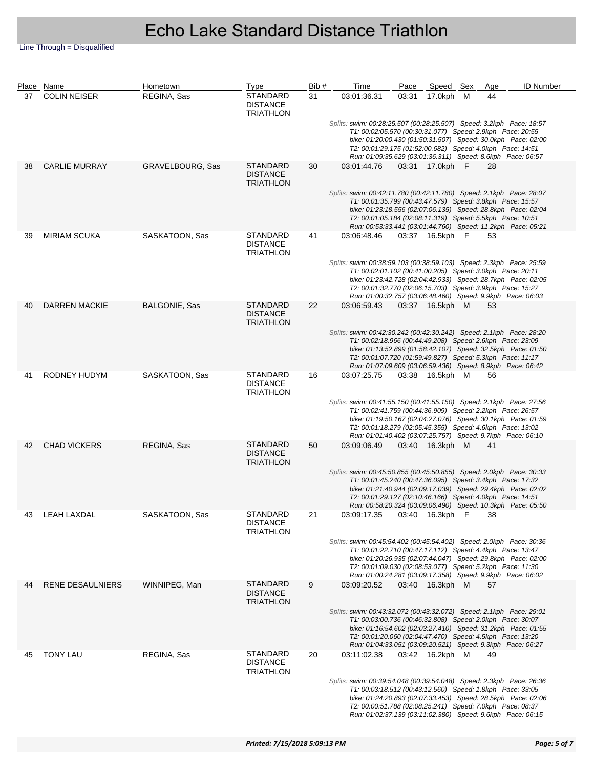|    | Place Name           | Hometown             | Type                                                   | Bib# | Time                                                                                                                                                                                                                                                                                                                         | Pace  | Speed Sex       | Age | <b>ID Number</b> |  |
|----|----------------------|----------------------|--------------------------------------------------------|------|------------------------------------------------------------------------------------------------------------------------------------------------------------------------------------------------------------------------------------------------------------------------------------------------------------------------------|-------|-----------------|-----|------------------|--|
| 37 | <b>COLIN NEISER</b>  | REGINA, Sas          | <b>STANDARD</b><br><b>DISTANCE</b><br><b>TRIATHLON</b> | 31   | 03:01:36.31                                                                                                                                                                                                                                                                                                                  | 03:31 | 17.0kph M       | 44  |                  |  |
|    |                      |                      |                                                        |      | Splits: swim: 00:28:25.507 (00:28:25.507) Speed: 3.2kph Pace: 18:57<br>T1: 00:02:05.570 (00:30:31.077) Speed: 2.9kph Pace: 20:55<br>bike: 01:20:00.430 (01:50:31.507) Speed: 30.0kph Pace: 02:00<br>T2: 00:01:29.175 (01:52:00.682) Speed: 4.0kph Pace: 14:51<br>Run: 01:09:35.629 (03:01:36.311) Speed: 8.6kph Pace: 06:57  |       |                 |     |                  |  |
| 38 | <b>CARLIE MURRAY</b> | GRAVELBOURG, Sas     | <b>STANDARD</b><br><b>DISTANCE</b><br><b>TRIATHLON</b> | 30   | 03:01:44.76                                                                                                                                                                                                                                                                                                                  |       | 03:31 17.0kph F | 28  |                  |  |
|    |                      |                      |                                                        |      | Splits: swim: 00:42:11.780 (00:42:11.780) Speed: 2.1kph Pace: 28:07<br>T1: 00:01:35.799 (00:43:47.579) Speed: 3.8kph Pace: 15:57<br>bike: 01:23:18.556 (02:07:06.135) Speed: 28.8kph Pace: 02:04<br>T2: 00:01:05.184 (02:08:11.319) Speed: 5.5kph Pace: 10:51<br>Run: 00:53:33.441 (03:01:44.760) Speed: 11.2kph Pace: 05:21 |       |                 |     |                  |  |
| 39 | <b>MIRIAM SCUKA</b>  | SASKATOON, Sas       | <b>STANDARD</b><br><b>DISTANCE</b><br><b>TRIATHLON</b> | 41   | 03:06:48.46                                                                                                                                                                                                                                                                                                                  |       | 03:37 16.5kph F | 53  |                  |  |
|    |                      |                      |                                                        |      | Splits: swim: 00:38:59.103 (00:38:59.103) Speed: 2.3kph Pace: 25:59<br>T1: 00:02:01.102 (00:41:00.205) Speed: 3.0kph Pace: 20:11<br>bike: 01:23:42.728 (02:04:42.933) Speed: 28.7kph Pace: 02:05<br>T2: 00:01:32.770 (02:06:15.703) Speed: 3.9kph Pace: 15:27<br>Run: 01:00:32.757 (03:06:48.460) Speed: 9.9kph Pace: 06:03  |       |                 |     |                  |  |
| 40 | <b>DARREN MACKIE</b> | <b>BALGONIE, Sas</b> | <b>STANDARD</b><br><b>DISTANCE</b><br><b>TRIATHLON</b> | 22   | 03:06:59.43                                                                                                                                                                                                                                                                                                                  |       | 03:37 16.5kph M | 53  |                  |  |
|    |                      |                      |                                                        |      | Splits: swim: 00:42:30.242 (00:42:30.242) Speed: 2.1kph Pace: 28:20<br>T1: 00:02:18.966 (00:44:49.208) Speed: 2.6kph Pace: 23:09<br>bike: 01:13:52.899 (01:58:42.107) Speed: 32.5kph Pace: 01:50<br>T2: 00:01:07.720 (01:59:49.827) Speed: 5.3kph Pace: 11:17<br>Run: 01:07:09.609 (03:06:59.436) Speed: 8.9kph Pace: 06:42  |       |                 |     |                  |  |
| 41 | RODNEY HUDYM         | SASKATOON, Sas       | <b>STANDARD</b><br><b>DISTANCE</b><br><b>TRIATHLON</b> | 16   | 03:07:25.75                                                                                                                                                                                                                                                                                                                  |       | 03:38 16.5kph M | 56  |                  |  |
|    |                      |                      |                                                        |      | Splits: swim: 00:41:55.150 (00:41:55.150) Speed: 2.1kph Pace: 27:56<br>T1: 00:02:41.759 (00:44:36.909) Speed: 2.2kph Pace: 26:57<br>bike: 01:19:50.167 (02:04:27.076) Speed: 30.1kph Pace: 01:59<br>T2: 00:01:18.279 (02:05:45.355) Speed: 4.6kph Pace: 13:02<br>Run: 01:01:40.402 (03:07:25.757) Speed: 9.7kph Pace: 06:10  |       |                 |     |                  |  |
| 42 | <b>CHAD VICKERS</b>  | REGINA, Sas          | <b>STANDARD</b><br><b>DISTANCE</b><br><b>TRIATHLON</b> | 50   | 03:09:06.49                                                                                                                                                                                                                                                                                                                  |       | 03:40 16.3kph M | 41  |                  |  |
|    |                      |                      |                                                        |      | Splits: swim: 00:45:50.855 (00:45:50.855) Speed: 2.0kph Pace: 30:33<br>T1: 00:01:45.240 (00:47:36.095) Speed: 3.4kph Pace: 17:32<br>bike: 01:21:40.944 (02:09:17.039) Speed: 29.4kph Pace: 02:02<br>T2: 00:01:29.127 (02:10:46.166) Speed: 4.0kph Pace: 14:51<br>Run: 00:58:20.324 (03:09:06.490) Speed: 10.3kph Pace: 05:50 |       |                 |     |                  |  |
| 43 | <b>LEAH LAXDAL</b>   | SASKATOON, Sas       | <b>STANDARD</b><br><b>DISTANCE</b><br><b>TRIATHLON</b> | 21   | 03:09:17.35  03:40  16.3kph  F  38                                                                                                                                                                                                                                                                                           |       |                 |     |                  |  |
|    |                      |                      |                                                        |      | Splits: swim: 00:45:54.402 (00:45:54.402) Speed: 2.0kph Pace: 30:36<br>T1: 00:01:22.710 (00:47:17.112) Speed: 4.4kph Pace: 13:47<br>bike: 01:20:26.935 (02:07:44.047) Speed: 29.8kph Pace: 02:00<br>T2: 00:01:09.030 (02:08:53.077) Speed: 5.2kph Pace: 11:30<br>Run: 01:00:24.281 (03:09:17.358) Speed: 9.9kph Pace: 06:02  |       |                 |     |                  |  |
| 44 | RENE DESAULNIERS     | WINNIPEG, Man        | <b>STANDARD</b><br><b>DISTANCE</b><br><b>TRIATHLON</b> | 9    | 03:09:20.52                                                                                                                                                                                                                                                                                                                  |       | 03:40 16.3kph M | 57  |                  |  |
|    |                      |                      |                                                        |      | Splits: swim: 00:43:32.072 (00:43:32.072) Speed: 2.1kph Pace: 29:01<br>T1: 00:03:00.736 (00:46:32.808) Speed: 2.0kph Pace: 30:07<br>bike: 01:16:54.602 (02:03:27.410) Speed: 31.2kph Pace: 01:55<br>T2: 00:01:20.060 (02:04:47.470) Speed: 4.5kph Pace: 13:20<br>Run: 01:04:33.051 (03:09:20.521) Speed: 9.3kph Pace: 06:27  |       |                 |     |                  |  |
| 45 | <b>TONY LAU</b>      | REGINA, Sas          | <b>STANDARD</b><br><b>DISTANCE</b><br><b>TRIATHLON</b> | 20   | 03:11:02.38                                                                                                                                                                                                                                                                                                                  |       | 03:42 16.2kph M | 49  |                  |  |
|    |                      |                      |                                                        |      | Splits: swim: 00:39:54.048 (00:39:54.048) Speed: 2.3kph Pace: 26:36<br>T1: 00:03:18.512 (00:43:12.560) Speed: 1.8kph Pace: 33:05<br>bike: 01:24:20.893 (02:07:33.453) Speed: 28.5kph Pace: 02:06<br>T2: 00:00:51.788 (02:08:25.241) Speed: 7.0kph Pace: 08:37<br>Run: 01:02:37.139 (03:11:02.380) Speed: 9.6kph Pace: 06:15  |       |                 |     |                  |  |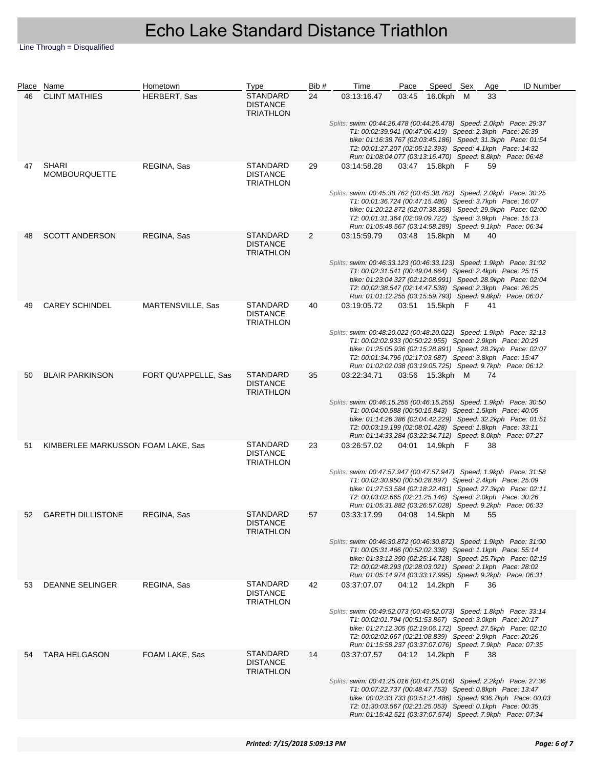|    | Place Name                           | Hometown             | Type                                            | Bib# | Time                                                                                                                                                                                                                                                                                                                           | Pace  | Speed Sex       | Age | <b>ID Number</b>                                              |
|----|--------------------------------------|----------------------|-------------------------------------------------|------|--------------------------------------------------------------------------------------------------------------------------------------------------------------------------------------------------------------------------------------------------------------------------------------------------------------------------------|-------|-----------------|-----|---------------------------------------------------------------|
| 46 | <b>CLINT MATHIES</b>                 | HERBERT, Sas         | STANDARD<br><b>DISTANCE</b><br>TRIATHLON        | 24   | 03:13:16.47                                                                                                                                                                                                                                                                                                                    | 03:45 | 16.0kph M       | 33  |                                                               |
|    |                                      |                      |                                                 |      | Splits: swim: 00:44:26.478 (00:44:26.478) Speed: 2.0kph Pace: 29:37<br>T1: 00:02:39.941 (00:47:06.419) Speed: 2.3kph Pace: 26:39<br>bike: 01:16:38.767 (02:03:45.186) Speed: 31.3kph Pace: 01:54<br>T2: 00:01:27.207 (02:05:12.393) Speed: 4.1kph Pace: 14:32<br>Run: 01:08:04.077 (03:13:16.470) Speed: 8.8kph Pace: 06:48    |       |                 |     |                                                               |
| 47 | <b>SHARI</b><br><b>MOMBOURQUETTE</b> | REGINA, Sas          | STANDARD<br><b>DISTANCE</b><br>TRIATHLON        | 29   | 03:14:58.28                                                                                                                                                                                                                                                                                                                    |       | 03:47 15.8kph F | 59  |                                                               |
|    |                                      |                      |                                                 |      | Splits: swim: 00:45:38.762 (00:45:38.762) Speed: 2.0kph Pace: 30:25<br>T1: 00:01:36.724 (00:47:15.486) Speed: 3.7kph Pace: 16:07<br>bike: 01:20:22.872 (02:07:38.358) Speed: 29.9kph Pace: 02:00<br>T2: 00:01:31.364 (02:09:09.722) Speed: 3.9kph Pace: 15:13<br>Run: 01:05:48.567 (03:14:58.289) Speed: 9.1kph Pace: 06:34    |       |                 |     |                                                               |
| 48 | <b>SCOTT ANDERSON</b>                | REGINA, Sas          | STANDARD<br><b>DISTANCE</b><br>TRIATHLON        | 2    | 03:15:59.79                                                                                                                                                                                                                                                                                                                    |       | 03:48 15.8kph M | 40  |                                                               |
|    |                                      |                      |                                                 |      | Splits: swim: 00:46:33.123 (00:46:33.123) Speed: 1.9kph Pace: 31:02<br>T1: 00:02:31.541 (00:49:04.664) Speed: 2.4kph Pace: 25:15<br>bike: 01:23:04.327 (02:12:08.991) Speed: 28.9kph Pace: 02:04<br>T2: 00:02:38.547 (02:14:47.538) Speed: 2.3kph Pace: 26:25<br>Run: 01:01:12.255 (03:15:59.793) Speed: 9.8kph Pace: 06:07    |       |                 |     |                                                               |
| 49 | <b>CAREY SCHINDEL</b>                | MARTENSVILLE, Sas    | STANDARD<br><b>DISTANCE</b><br>TRIATHLON        | 40   | 03:19:05.72                                                                                                                                                                                                                                                                                                                    |       | 03:51 15.5kph F | 41  |                                                               |
|    |                                      |                      |                                                 |      | Splits: swim: 00:48:20.022 (00:48:20.022) Speed: 1.9kph Pace: 32:13<br>T1: 00:02:02.933 (00:50:22.955) Speed: 2.9kph Pace: 20:29<br>bike: 01:25:05.936 (02:15:28.891) Speed: 28.2kph Pace: 02:07<br>T2: 00:01:34.796 (02:17:03.687) Speed: 3.8kph Pace: 15:47<br>Run: 01:02:02.038 (03:19:05.725) Speed: 9.7kph Pace: 06:12    |       |                 |     |                                                               |
| 50 | <b>BLAIR PARKINSON</b>               | FORT QU'APPELLE, Sas | <b>STANDARD</b><br><b>DISTANCE</b><br>TRIATHLON | 35   | 03:22:34.71                                                                                                                                                                                                                                                                                                                    |       | 03:56 15.3kph M | 74  |                                                               |
|    |                                      |                      |                                                 |      | Splits: swim: 00:46:15.255 (00:46:15.255) Speed: 1.9kph Pace: 30:50<br>T1: 00:04:00.588 (00:50:15.843) Speed: 1.5kph Pace: 40:05<br>bike: 01:14:26.386 (02:04:42.229) Speed: 32.2kph Pace: 01:51<br>T2: 00:03:19.199 (02:08:01.428) Speed: 1.8kph Pace: 33:11<br>Run: 01:14:33.284 (03:22:34.712) Speed: 8.0kph Pace: 07:27    |       |                 |     |                                                               |
| 51 | KIMBERLEE MARKUSSON FOAM LAKE, Sas   |                      | STANDARD<br><b>DISTANCE</b><br>TRIATHLON        | 23   | 03:26:57.02                                                                                                                                                                                                                                                                                                                    |       | 04:01 14.9kph F | 38  |                                                               |
|    |                                      |                      |                                                 |      | Splits: swim: 00:47:57.947 (00:47:57.947) Speed: 1.9kph Pace: 31:58<br>T1: 00:02:30.950 (00:50:28.897) Speed: 2.4kph Pace: 25:09<br>bike: 01:27:53.584 (02:18:22.481) Speed: 27.3kph Pace: 02:11<br>T2: 00:03:02.665 (02:21:25.146) Speed: 2.0kph Pace: 30:26<br>Run: 01:05:31.882 (03:26:57.028) Speed: 9.2kph Pace: 06:33    |       |                 |     |                                                               |
|    | 52 GARETH DILLISTONE                 | REGINA, Sas          | <b>STANDARD</b><br><b>DISTANCE</b><br>TRIATHLON | 57   | 03:33:17.99  04:08  14.5kph  M  55                                                                                                                                                                                                                                                                                             |       |                 |     |                                                               |
|    |                                      |                      |                                                 |      | Splits: swim: 00:46:30.872 (00:46:30.872) Speed: 1.9kph Pace: 31:00<br>T1: 00:05:31.466 (00:52:02.338) Speed: 1.1kph Pace: 55:14<br>bike: 01:33:12.390 (02:25:14.728) Speed: 25.7kph Pace: 02:19<br>T2: 00:02:48.293 (02:28:03.021) Speed: 2.1kph Pace: 28:02<br>Run: 01:05:14.974 (03:33:17.995) Speed: 9.2kph Pace: 06:31    |       |                 |     |                                                               |
| 53 | <b>DEANNE SELINGER</b>               | REGINA, Sas          | STANDARD<br><b>DISTANCE</b><br>TRIATHLON        | 42   | 03:37:07.07                                                                                                                                                                                                                                                                                                                    |       | 04:12 14.2kph F | 36  |                                                               |
|    |                                      |                      |                                                 |      | Splits: swim: 00:49:52.073 (00:49:52.073) Speed: 1.8kph    Pace: 33:14<br>T1: 00:02:01.794 (00:51:53.867) Speed: 3.0kph Pace: 20:17<br>bike: 01:27:12.305 (02:19:06.172) Speed: 27.5kph Pace: 02:10<br>T2: 00:02:02.667 (02:21:08.839) Speed: 2.9kph Pace: 20:26<br>Run: 01:15:58.237 (03:37:07.076) Speed: 7.9kph Pace: 07:35 |       |                 |     |                                                               |
| 54 | <b>TARA HELGASON</b>                 | FOAM LAKE, Sas       | STANDARD<br><b>DISTANCE</b><br><b>TRIATHLON</b> | 14   | 03:37:07.57                                                                                                                                                                                                                                                                                                                    |       | 04:12 14.2kph F | 38  |                                                               |
|    |                                      |                      |                                                 |      | Splits: swim: 00:41:25.016 (00:41:25.016) Speed: 2.2kph    Pace: 27:36<br>T1: 00:07:22.737 (00:48:47.753) Speed: 0.8kph Pace: 13:47<br>T2: 01:30:03.567 (02:21:25.053) Speed: 0.1kph Pace: 00:35<br>Run: 01:15:42.521 (03:37:07.574) Speed: 7.9kph Pace: 07:34                                                                 |       |                 |     | bike: 00:02:33.733 (00:51:21.486) Speed: 936.7kph Pace: 00:03 |
|    |                                      |                      |                                                 |      |                                                                                                                                                                                                                                                                                                                                |       |                 |     |                                                               |